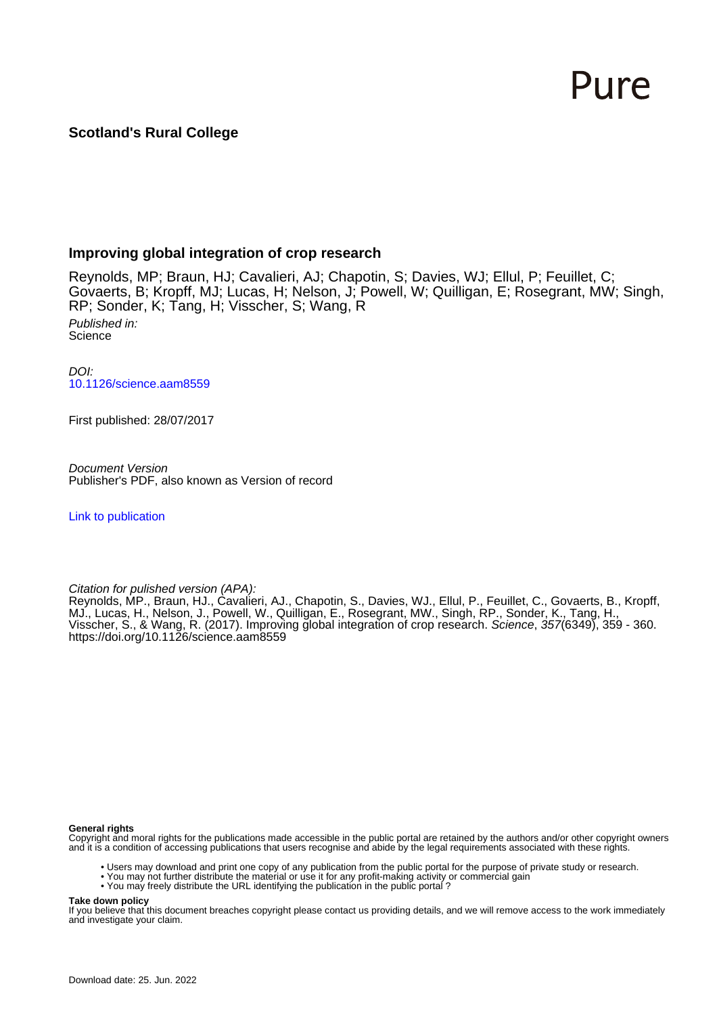# Pure

# **Scotland's Rural College**

# **Improving global integration of crop research**

Reynolds, MP; Braun, HJ; Cavalieri, AJ; Chapotin, S; Davies, WJ; Ellul, P; Feuillet, C; Govaerts, B; Kropff, MJ; Lucas, H; Nelson, J; Powell, W; Quilligan, E; Rosegrant, MW; Singh, RP; Sonder, K; Tang, H; Visscher, S; Wang, R Published in: **Science** 

DOI: [10.1126/science.aam8559](https://doi.org/10.1126/science.aam8559)

First published: 28/07/2017

Document Version Publisher's PDF, also known as Version of record

[Link to publication](https://pure.sruc.ac.uk/en/publications/38fef092-466c-42e6-913f-d1d0807f84c8)

Citation for pulished version (APA):

Reynolds, MP., Braun, HJ., Cavalieri, AJ., Chapotin, S., Davies, WJ., Ellul, P., Feuillet, C., Govaerts, B., Kropff, MJ., Lucas, H., Nelson, J., Powell, W., Quilligan, E., Rosegrant, MW., Singh, RP., Sonder, K., Tang, H., Visscher, S., & Wang, R. (2017). Improving global integration of crop research. Science, 357(6349), 359 - 360. <https://doi.org/10.1126/science.aam8559>

## **General rights**

Copyright and moral rights for the publications made accessible in the public portal are retained by the authors and/or other copyright owners and it is a condition of accessing publications that users recognise and abide by the legal requirements associated with these rights.

- Users may download and print one copy of any publication from the public portal for the purpose of private study or research.
- You may not further distribute the material or use it for any profit-making activity or commercial gain
- You may freely distribute the URL identifying the publication in the public portal ?

#### **Take down policy**

If you believe that this document breaches copyright please contact us providing details, and we will remove access to the work immediately and investigate your claim.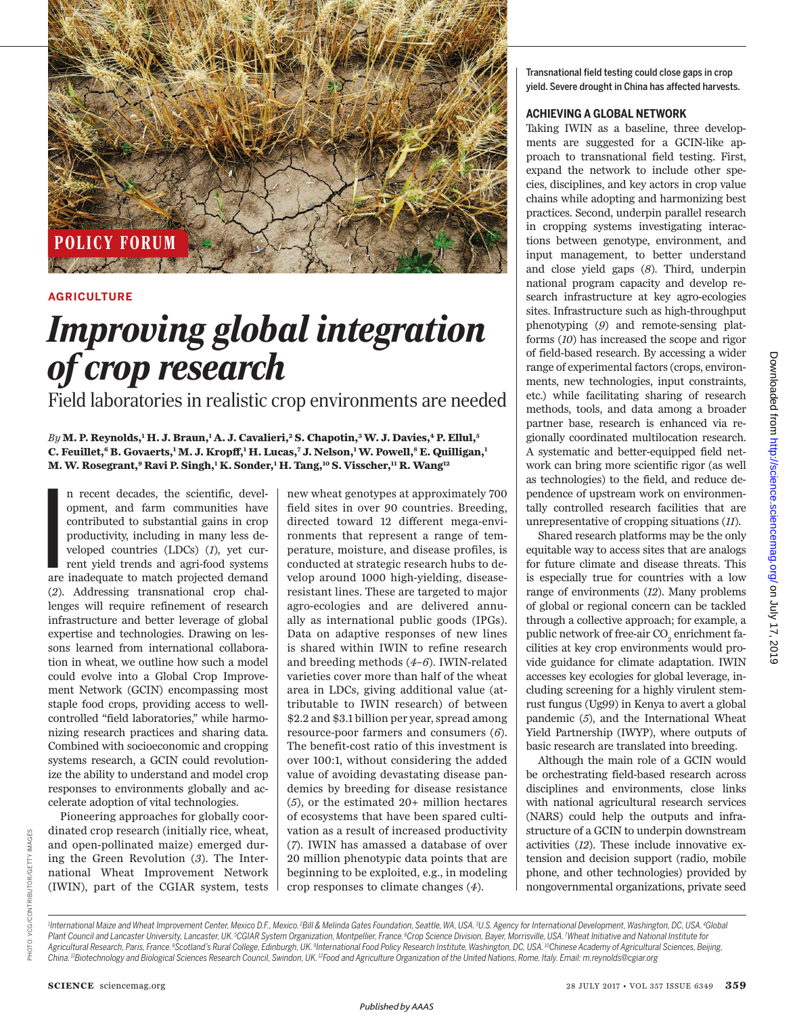

## **AGRICULTURE**

# *Improving global integration of crop research*

Field laboratories in realistic crop environments are needed

*By* **M. P. Reynolds,<sup>1</sup> H. J. Braun,<sup>1</sup> A. J. Cavalieri,<sup>2</sup> S. Chapotin,<sup>3</sup> W. J. Davies,<sup>4</sup> P. Ellul,<sup>5</sup> C. Feuillet,<sup>6</sup> B. Govaerts,<sup>1</sup> M. J. Kropff,<sup>1</sup> H. Lucas,<sup>7</sup> J. Nelson,<sup>1</sup> W. Powell,<sup>8</sup> E. Quilligan,<sup>1</sup> M. W. Rosegrant,<sup>9</sup> Ravi P. Singh,<sup>1</sup> K. Sonder,<sup>1</sup> H. Tang,10 S. Visscher,11 R. Wang<sup>12</sup>**

I n recent decades, the scientific, development, and farm communities have contributed to substantial gains in crop productivity, including in many less developed countries (LDCs) (*1*), yet current yield trends and agri-food systems are inadequate to match projected demand (*2*). Addressing transnational crop challenges will require refinement of research infrastructure and better leverage of global expertise and technologies. Drawing on lessons learned from international collaboration in wheat, we outline how such a model could evolve into a Global Crop Improvement Network (GCIN) encompassing most staple food crops, providing access to wellcontrolled "field laboratories," while harmonizing research practices and sharing data. Combined with socioeconomic and cropping systems research, a GCIN could revolutionize the ability to understand and model crop responses to environments globally and accelerate adoption of vital technologies.

Pioneering approaches for globally coordinated crop research (initially rice, wheat, and open-pollinated maize) emerged during the Green Revolution (*3*). The International Wheat Improvement Network (IWIN), part of the CGIAR system, tests new wheat genotypes at approximately 700 field sites in over 90 countries. Breeding, directed toward 12 different mega-environments that represent a range of temperature, moisture, and disease profiles, is conducted at strategic research hubs to develop around 1000 high-yielding, diseaseresistant lines. These are targeted to major agro-ecologies and are delivered annually as international public goods (IPGs). Data on adaptive responses of new lines is shared within IWIN to refine research and breeding methods (*4*–*6*). IWIN-related varieties cover more than half of the wheat area in LDCs, giving additional value (attributable to IWIN research) of between \$2.2 and \$3.1 billion per year, spread among resource-poor farmers and consumers (*6*). The benefit-cost ratio of this investment is over 100:1, without considering the added value of avoiding devastating disease pandemics by breeding for disease resistance (*5*), or the estimated 20+ million hectares of ecosystems that have been spared cultivation as a result of increased productivity (*7*). IWIN has amassed a database of over 20 million phenotypic data points that are beginning to be exploited, e.g., in modeling crop responses to climate changes (*4*).

Transnational field testing could close gaps in crop yield. Severe drought in China has affected harvests.

# **ACHIEVING A GLOBAL NETWORK**

Taking IWIN as a baseline, three developments are suggested for a GCIN-like approach to transnational field testing. First, expand the network to include other species, disciplines, and key actors in crop value chains while adopting and harmonizing best practices. Second, underpin parallel research in cropping systems investigating interactions between genotype, environment, and input management, to better understand and close yield gaps (*8*). Third, underpin national program capacity and develop research infrastructure at key agro-ecologies sites. Infrastructure such as high-throughput phenotyping (*9*) and remote-sensing platforms (*10*) has increased the scope and rigor of field-based research. By accessing a wider range of experimental factors (crops, environments, new technologies, input constraints, etc.) while facilitating sharing of research methods, tools, and data among a broader partner base, research is enhanced via regionally coordinated multilocation research. A systematic and better-equipped field network can bring more scientific rigor (as well as technologies) to the field, and reduce dependence of upstream work on environmentally controlled research facilities that are unrepresentative of cropping situations (*11*).

Shared research platforms may be the only equitable way to access sites that are analogs for future climate and disease threats. This is especially true for countries with a low range of environments (*12*). Many problems of global or regional concern can be tackled through a collective approach; for example, a public network of free-air  $\mathrm{CO}_2$  enrichment facilities at key crop environments would provide guidance for climate adaptation. IWIN accesses key ecologies for global leverage, including screening for a highly virulent stemrust fungus (Ug99) in Kenya to avert a global pandemic (*5*), and the International Wheat Yield Partnership (IWYP), where outputs of basic research are translated into breeding.

Although the main role of a GCIN would be orchestrating field-based research across disciplines and environments, close links with national agricultural research services (NARS) could help the outputs and infrastructure of a GCIN to underpin downstream activities (*12*). These include innovative extension and decision support (radio, mobile phone, and other technologies) provided by nongovernmental organizations, private seed

lInternational Maize and Wheat Improvement Center, Mexico D.F., Mexico. ?Bill & Melinda Gates Foundation, Seattle, WA, USA. <sup>3</sup>U.S. Agency for International Development, Washington, DC, USA. <sup>4</sup>Global Plant Council and Lancaster University, Lancaster, UK.<sup>5</sup>CGIAR System Organization, Montpellier, France.<sup>6</sup>Crop Science Division, Bayer, Morrisville, USA.7Wheat Initiative and National Institute for Agricultural Research, Paris, France. <sup>8</sup>Scotland's Rural College, Edinburgh, UK. <sup>9</sup>International Food Policy Research Institute, Washington, DC, USA. <sup>10</sup>Chinese Academy of Agricultural Sciences, Beijing, *China.<sup>11</sup>Biotechnology and Biological Sciences Research Council, Swindon, UK.<sup>12</sup>Food and Agriculture Organization of the United Nations, Rome, Italy. Email: m.reynolds@cgiar.org*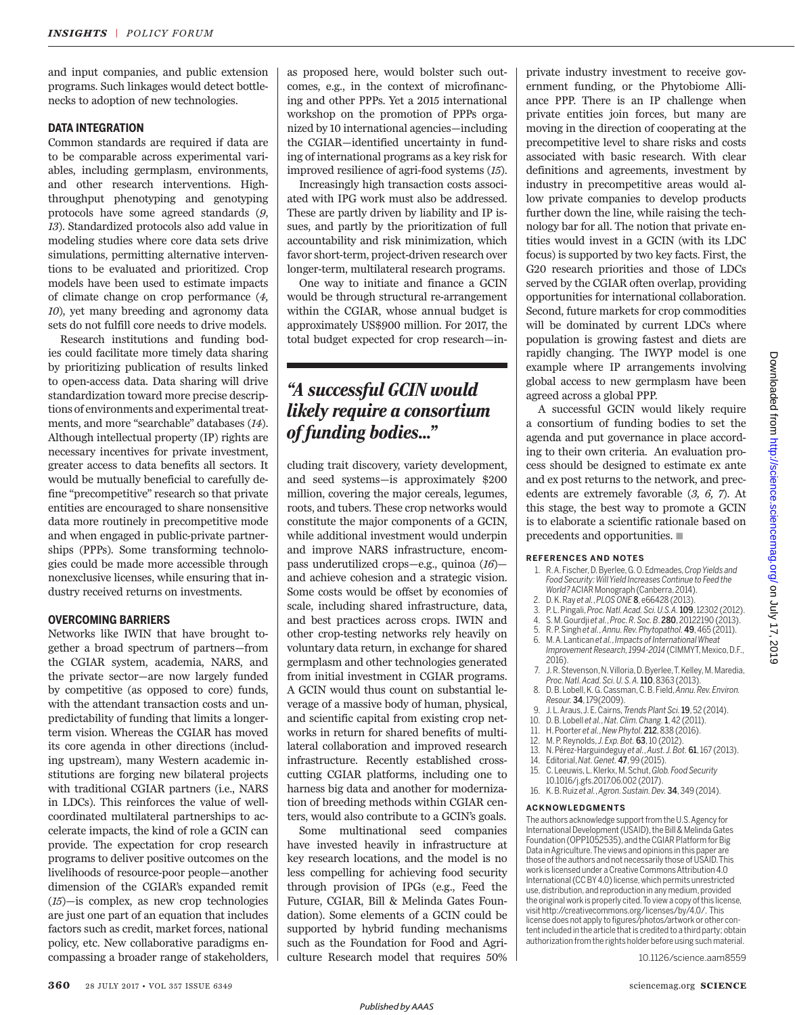and input companies, and public extension programs. Such linkages would detect bottlenecks to adoption of new technologies.

### **DATA INTEGRATION**

Common standards are required if data are to be comparable across experimental variables, including germplasm, environments, and other research interventions. Highthroughput phenotyping and genotyping protocols have some agreed standards (*9*, *13*). Standardized protocols also add value in modeling studies where core data sets drive simulations, permitting alternative interventions to be evaluated and prioritized. Crop models have been used to estimate impacts of climate change on crop performance (*4, 10*), yet many breeding and agronomy data sets do not fulfill core needs to drive models.

Research institutions and funding bodies could facilitate more timely data sharing by prioritizing publication of results linked to open-access data. Data sharing will drive standardization toward more precise descriptions of environments and experimental treatments, and more "searchable" databases (*14*). Although intellectual property (IP) rights are necessary incentives for private investment, greater access to data benefits all sectors. It would be mutually beneficial to carefully define "precompetitive" research so that private entities are encouraged to share nonsensitive data more routinely in precompetitive mode and when engaged in public-private partnerships (PPPs). Some transforming technologies could be made more accessible through nonexclusive licenses, while ensuring that industry received returns on investments.

#### **OVERCOMING BARRIERS**

Networks like IWIN that have brought together a broad spectrum of partners—from the CGIAR system, academia, NARS, and the private sector—are now largely funded by competitive (as opposed to core) funds, with the attendant transaction costs and unpredictability of funding that limits a longerterm vision. Whereas the CGIAR has moved its core agenda in other directions (including upstream), many Western academic institutions are forging new bilateral projects with traditional CGIAR partners (i.e., NARS in LDCs). This reinforces the value of wellcoordinated multilateral partnerships to accelerate impacts, the kind of role a GCIN can provide. The expectation for crop research programs to deliver positive outcomes on the livelihoods of resource-poor people—another dimension of the CGIAR's expanded remit (*15*)—is complex, as new crop technologies are just one part of an equation that includes factors such as credit, market forces, national policy, etc. New collaborative paradigms encompassing a broader range of stakeholders, as proposed here, would bolster such outcomes, e.g., in the context of microfinancing and other PPPs. Yet a 2015 international workshop on the promotion of PPPs organized by 10 international agencies—including the CGIAR—identified uncertainty in funding of international programs as a key risk for improved resilience of agri-food systems (*15*).

Increasingly high transaction costs associated with IPG work must also be addressed. These are partly driven by liability and IP issues, and partly by the prioritization of full accountability and risk minimization, which favor short-term, project-driven research over longer-term, multilateral research programs.

One way to initiate and finance a GCIN would be through structural re-arrangement within the CGIAR, whose annual budget is approximately US\$900 million. For 2017, the total budget expected for crop research—in-

# *"A successful GCIN would likely require a consortium of funding bodies..."*

cluding trait discovery, variety development, and seed systems—is approximately \$200 million, covering the major cereals, legumes, roots, and tubers. These crop networks would constitute the major components of a GCIN, while additional investment would underpin and improve NARS infrastructure, encompass underutilized crops—e.g., quinoa (*16*) and achieve cohesion and a strategic vision. Some costs would be offset by economies of scale, including shared infrastructure, data, and best practices across crops. IWIN and other crop-testing networks rely heavily on voluntary data return, in exchange for shared germplasm and other technologies generated from initial investment in CGIAR programs. A GCIN would thus count on substantial leverage of a massive body of human, physical, and scientific capital from existing crop networks in return for shared benefits of multilateral collaboration and improved research infrastructure. Recently established crosscutting CGIAR platforms, including one to harness big data and another for modernization of breeding methods within CGIAR centers, would also contribute to a GCIN's goals.

Some multinational seed companies have invested heavily in infrastructure at key research locations, and the model is no less compelling for achieving food security through provision of IPGs (e.g., Feed the Future, CGIAR, Bill & Melinda Gates Foundation). Some elements of a GCIN could be supported by hybrid funding mechanisms such as the Foundation for Food and Agriculture Research model that requires 50% private industry investment to receive government funding, or the Phytobiome Alliance PPP. There is an IP challenge when private entities join forces, but many are moving in the direction of cooperating at the precompetitive level to share risks and costs associated with basic research. With clear definitions and agreements, investment by industry in precompetitive areas would allow private companies to develop products further down the line, while raising the technology bar for all. The notion that private entities would invest in a GCIN (with its LDC focus) is supported by two key facts. First, the G20 research priorities and those of LDCs served by the CGIAR often overlap, providing opportunities for international collaboration. Second, future markets for crop commodities will be dominated by current LDCs where population is growing fastest and diets are rapidly changing. The IWYP model is one example where IP arrangements involving global access to new germplasm have been agreed across a global PPP.

A successful GCIN would likely require a consortium of funding bodies to set the agenda and put governance in place according to their own criteria. An evaluation process should be designed to estimate ex ante and ex post returns to the network, and precedents are extremely favorable (*3, 6, 7*). At this stage, the best way to promote a GCIN is to elaborate a scientific rationale based on precedents and opportunities.  $\blacksquare$ 

#### **REFERENCES AND NOTES**

- 1. R. A. Fischer, D. Byerlee, G. O. Edmeades, *Crop Yields and Food Security: Will Yield Increases Continue to Feed the World?* ACIAR Monograph (Canberra, 2014).
- 2. D. K. Ray *et al.*, *PLOS ONE* 8, e66428 (2013).
- 3. P. L. Pingali, *Proc. Natl. Acad. Sci. U.S.A.*109, 12302 (2012).
- 4. S. M. Gourdji *et al.*, *Proc. R. Soc. B*. 280, 20122190 (2013).
- 5. R. P. Singh *et al.*, *Annu. Rev. Phytopathol.* 49, 465 (2011). 6. M. A. Lantican *et al.*, *Impacts of International Wheat Improvement Research, 1994-2014* (CIMMYT, Mexico, D.F.,
- 2016). 7. J. R. Stevenson, N. Villoria, D. Byerlee, T. Kelley, M. Maredia,
- *Proc. Natl. Acad. Sci. U. S. A.*110, 8363 (2013). 8. D. B. Lobell, K. G. Cassman, C. B. Field, *Annu. Rev. Environ. Resour.* 34, 179(2009).
- 9. J. L. Araus, J. E. Cairns, *Trends Plant Sci.*19, 52 (2014).
- 
- 10. D. B. Lobell *et al.*, *Nat. Clim. Chang.*1, 42 (2011).
- 11. H. Poorter *et al.*, *New Phytol.* 212, 838 (2016).
- 12. M. P. Reynolds, *J. Exp. Bot.* 63, 10 (2012). 13. N. Pérez-Harguindeguy *et al.*, *Aust. J. Bot.* 61, 167 (2013).
- 
- 14. Editorial, *Nat. Genet.* 47, 99 (2015). 15. C. Leeuwis, L. Klerkx, M. Schut, *Glob. Food Security*
- 10.1016/j.gfs.2017.06.002 (2017).
- 16. K. B. Ruiz *et al.*, *Agron. Sustain. Dev.* 34, 349 (2014).

### **ACKNOWLEDGMENTS**

The authors acknowledge support from the U.S. Agency for International Development (USAID), the Bill & Melinda Gates Foundation (OPP1052535), and the CGIAR Platform for Big Data in Agriculture. The views and opinions in this paper are those of the authors and not necessarily those of USAID. This work is licensed under a Creative Commons Attribution 4.0 International (CC BY 4.0) license, which permits unrestricted use, distribution, and reproduction in any medium, provided the original work is properly cited. To view a copy of this license, visit http://creativecommons.org/licenses/by/4.0/. This license does not apply to figures/photos/artwork or other content included in the article that is credited to a third party; obtain authorization from the rights holder before using such material.

10.1126/science.aam8559